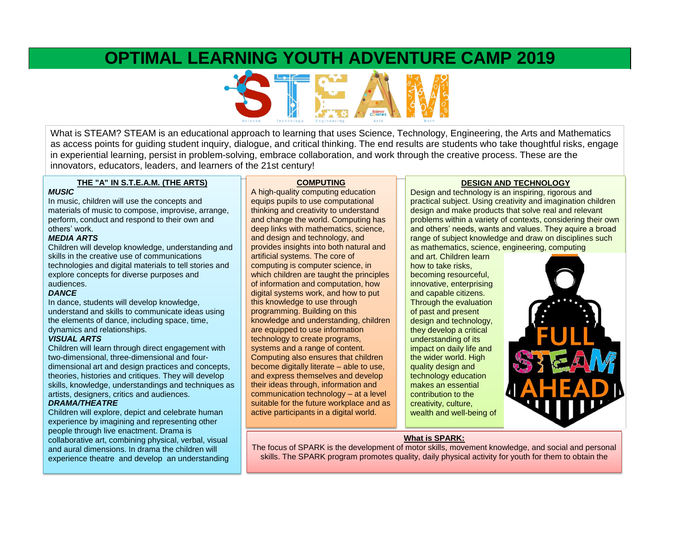## **OPTIMAL LEARNING YOUTH ADVENTURE CAMP 2019**



What is STEAM? STEAM is an educational approach to learning that uses Science, Technology, Engineering, the Arts and Mathematics as access points for guiding student inquiry, dialogue, and critical thinking. The end results are students who take thoughtful risks, engage in experiential learning, persist in problem-solving, embrace collaboration, and work through the creative process. These are the innovators, educators, leaders, and learners of the 21st century!

#### **THE "A" IN S.T.E.A.M. (THE ARTS)**

#### *MUSIC*

In music, children will use the concepts and materials of music to compose, improvise, arrange, perform, conduct and respond to their own and others' work.

#### *MEDIA ARTS*

Children will develop knowledge, understanding and skills in the creative use of communications technologies and digital materials to tell stories and explore concepts for diverse purposes and audiences.

#### *DANCE*

In dance, students will develop knowledge, understand and skills to communicate ideas using the elements of dance, including space, time, dynamics and relationships.

#### *VISUAL ARTS*

Children will learn through direct engagement with two-dimensional, three-dimensional and fourdimensional art and design practices and concepts, theories, histories and critiques. They will develop skills, knowledge, understandings and techniques as artists, designers, critics and audiences.

#### *DRAMA/THEATRE*

Children will explore, depict and celebrate human experience by imagining and representing other people through live enactment. Drama is collaborative art, combining physical, verbal, visual and aural dimensions. In drama the children will experience theatre and develop an understanding

#### **COMPUTING**

A high-quality computing education equips pupils to use computational thinking and creativity to understand and change the world. Computing has deep links with mathematics, science, and design and technology, and provides insights into both natural and artificial systems. The core of computing is computer science, in which children are taught the principles of information and computation, how digital systems work, and how to put this knowledge to use through programming. Building on this knowledge and understanding, children are equipped to use information technology to create programs, systems and a range of content. Computing also ensures that children become digitally literate – able to use, and express themselves and develop their ideas through, information and communication technology – at a level suitable for the future workplace and as active participants in a digital world.

#### **DESIGN AND TECHNOLOGY**

Design and technology is an inspiring, rigorous and practical subject. Using creativity and imagination children design and make products that solve real and relevant problems within a variety of contexts, considering their own and others' needs, wants and values. They aquire a broad range of subject knowledge and draw on disciplines such as mathematics, science, engineering, computing

and art. Children learn how to take risks, becoming resourceful, innovative, enterprising and capable citizens. Through the evaluation of past and present design and technology, they develop a critical understanding of its impact on daily life and the wider world. High quality design and technology education makes an essential contribution to the creativity, culture, wealth and well-being of



#### **What is SPARK:**

The focus of SPARK is the development of motor skills, movement knowledge, and social and personal skills. The SPARK program promotes quality, daily physical activity for youth for them to obtain the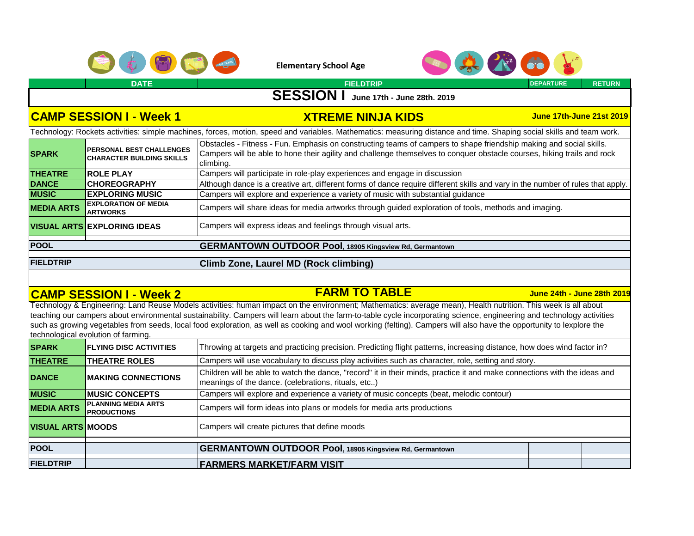



**DATE FIELDTRIP DEPARTURE RETURN**

### **SESSION I June 17th - June 28th. 2019**

#### **CAMP SESSION I - Week 1 XTREME NINJA KIDS**

**June 17th-June 21st 2019**

Technology: Rockets activities: simple machines, forces, motion, speed and variables. Mathematics: measuring distance and time. Shaping social skills and team work.

| <b>SPARK</b>                                                         | <b>PERSONAL BEST CHALLENGES</b><br><b>CHARACTER BUILDING SKILLS</b>                                | Obstacles - Fitness - Fun. Emphasis on constructing teams of campers to shape friendship making and social skills.<br>Campers will be able to hone their agility and challenge themselves to conquer obstacle courses, hiking trails and rock<br>climbing. |
|----------------------------------------------------------------------|----------------------------------------------------------------------------------------------------|------------------------------------------------------------------------------------------------------------------------------------------------------------------------------------------------------------------------------------------------------------|
| <b>THEATRE</b>                                                       | <b>ROLE PLAY</b>                                                                                   | Campers will participate in role-play experiences and engage in discussion                                                                                                                                                                                 |
| <b>DANCE</b>                                                         | <b>CHOREOGRAPHY</b>                                                                                | Although dance is a creative art, different forms of dance require different skills and vary in the number of rules that apply.                                                                                                                            |
| <b>MUSIC</b>                                                         | <b>EXPLORING MUSIC</b>                                                                             | Campers will explore and experience a variety of music with substantial guidance                                                                                                                                                                           |
| <b>EXPLORATION OF MEDIA</b><br><b>MEDIA ARTS</b><br><b>IARTWORKS</b> |                                                                                                    | Campers will share ideas for media artworks through guided exploration of tools, methods and imaging.                                                                                                                                                      |
|                                                                      | Campers will express ideas and feelings through visual arts.<br><b>VISUAL ARTS EXPLORING IDEAS</b> |                                                                                                                                                                                                                                                            |
| <b>POOL</b>                                                          |                                                                                                    | <b>GERMANTOWN OUTDOOR Pool, 18905 Kingsview Rd, Germantown</b>                                                                                                                                                                                             |
|                                                                      |                                                                                                    |                                                                                                                                                                                                                                                            |
| <b>FIELDTRIP</b>                                                     |                                                                                                    | Climb Zone, Laurel MD (Rock climbing)                                                                                                                                                                                                                      |

### **CAMP SESSION I - Week 2 FARM TO TABLE**

#### **June 24th - June 28th 2019**

Technology & Engineering: Land Reuse Models activities: human impact on the environment; Mathematics: average mean), Health nutrition. This week is all about teaching our campers about environmental sustainability. Campers will learn about the farm-to-table cycle incorporating science, engineering and technology activities such as growing vegetables from seeds, local food exploration, as well as cooking and wool working (felting). Campers will also have the opportunity to lexplore the technological evolution of farming.

| <b>SPARK</b>             | <b>FLYING DISC ACTIVITIES</b>                    | Throwing at targets and practicing precision. Predicting flight patterns, increasing distance, how does wind factor in?                                                          |  |  |  |
|--------------------------|--------------------------------------------------|----------------------------------------------------------------------------------------------------------------------------------------------------------------------------------|--|--|--|
| <b>THEATRE</b>           | <b>THEATRE ROLES</b>                             | Campers will use vocabulary to discuss play activities such as character, role, setting and story.                                                                               |  |  |  |
| <b>DANCE</b>             | <b>IMAKING CONNECTIONS</b>                       | Children will be able to watch the dance, "record" it in their minds, practice it and make connections with the ideas and<br>meanings of the dance. (celebrations, rituals, etc) |  |  |  |
| <b>MUSIC</b>             | <b>IMUSIC CONCEPTS</b>                           | Campers will explore and experience a variety of music concepts (beat, melodic contour)                                                                                          |  |  |  |
| <b>MEDIA ARTS</b>        | <b>PLANNING MEDIA ARTS</b><br><b>PRODUCTIONS</b> | Campers will form ideas into plans or models for media arts productions                                                                                                          |  |  |  |
| <b>VISUAL ARTS MOODS</b> |                                                  | Campers will create pictures that define moods                                                                                                                                   |  |  |  |
| <b>POOL</b>              |                                                  | <b>GERMANTOWN OUTDOOR Pool, 18905 Kingsview Rd, Germantown</b>                                                                                                                   |  |  |  |
| <b>FIELDTRIP</b>         |                                                  | <b>FARMERS MARKET/FARM VISIT</b>                                                                                                                                                 |  |  |  |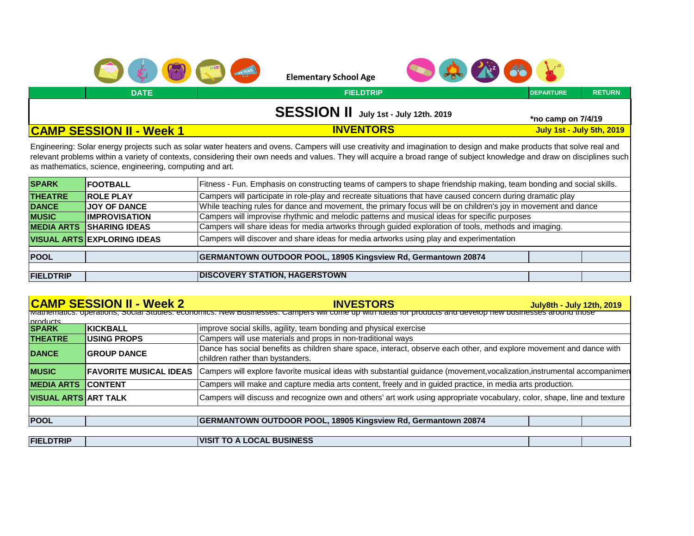



**DATE FIELDTRIP DEPARTURE RETURN**

# **SESSION II July 1st - July 12th. 2019 \*no camp on 7/4/19**

**July 1st - July 5th, 2019**

#### **CAMP SESSION II - Week 1 INVENTORS**

Engineering: Solar energy projects such as solar water heaters and ovens. Campers will use creativity and imagination to design and make products that solve real and relevant problems within a variety of contexts, considering their own needs and values. They will acquire a broad range of subject knowledge and draw on disciplines such as mathematics, science, engineering, computing and art.

| <b>SPARK</b>      | <b>FOOTBALL</b>                    | Fitness - Fun. Emphasis on constructing teams of campers to shape friendship making, team bonding and social skills. |  |  |  |
|-------------------|------------------------------------|----------------------------------------------------------------------------------------------------------------------|--|--|--|
| <b>THEATRE</b>    | <b>ROLE PLAY</b>                   | Campers will participate in role-play and recreate situations that have caused concern during dramatic play          |  |  |  |
| <b>DANCE</b>      | <b>JOY OF DANCE</b>                | While teaching rules for dance and movement, the primary focus will be on children's joy in movement and dance       |  |  |  |
| <b>MUSIC</b>      | <b>IMPROVISATION</b>               | Campers will improvise rhythmic and melodic patterns and musical ideas for specific purposes                         |  |  |  |
| <b>MEDIA ARTS</b> | <b>SHARING IDEAS</b>               | Campers will share ideas for media artworks through guided exploration of tools, methods and imaging.                |  |  |  |
|                   | <b>VISUAL ARTS EXPLORING IDEAS</b> | Campers will discover and share ideas for media artworks using play and experimentation                              |  |  |  |
| <b>POOL</b>       |                                    | <b>GERMANTOWN OUTDOOR POOL, 18905 Kingsview Rd, Germantown 20874</b>                                                 |  |  |  |
|                   |                                    |                                                                                                                      |  |  |  |
| <b>FIELDTRIP</b>  |                                    | <b>DISCOVERY STATION, HAGERSTOWN</b>                                                                                 |  |  |  |

|                             | <b>CAMP SESSION II - Week 2</b>                                                                                                                          | <b>INVESTORS</b>                                                                                                                                         | <b>July8th - July 12th, 2019</b> |  |  |  |
|-----------------------------|----------------------------------------------------------------------------------------------------------------------------------------------------------|----------------------------------------------------------------------------------------------------------------------------------------------------------|----------------------------------|--|--|--|
|                             | Mathematics: operations, Social Studies: economics. New Businesses: Campers will come up with ideas for products and develop new businesses around those |                                                                                                                                                          |                                  |  |  |  |
| products                    |                                                                                                                                                          |                                                                                                                                                          |                                  |  |  |  |
| <b>SPARK</b>                | <b>KICKBALL</b>                                                                                                                                          | improve social skills, agility, team bonding and physical exercise                                                                                       |                                  |  |  |  |
| <b>THEATRE</b>              | <b>USING PROPS</b>                                                                                                                                       | Campers will use materials and props in non-traditional ways                                                                                             |                                  |  |  |  |
| <b>DANCE</b>                | <b>GROUP DANCE</b>                                                                                                                                       | Dance has social benefits as children share space, interact, observe each other, and explore movement and dance with<br>children rather than bystanders. |                                  |  |  |  |
| <b>MUSIC</b>                | <b>FAVORITE MUSICAL IDEAS</b>                                                                                                                            | Campers will explore favorite musical ideas with substantial guidance (movement, vocalization, instrumental accompanimen                                 |                                  |  |  |  |
| <b>MEDIA ARTS</b>           | <b>CONTENT</b>                                                                                                                                           | Campers will make and capture media arts content, freely and in guided practice, in media arts production.                                               |                                  |  |  |  |
| <b>VISUAL ARTS ART TALK</b> |                                                                                                                                                          | Campers will discuss and recognize own and others' art work using appropriate vocabulary, color, shape, line and texture                                 |                                  |  |  |  |
|                             |                                                                                                                                                          |                                                                                                                                                          |                                  |  |  |  |
| <b>POOL</b>                 |                                                                                                                                                          | <b>GERMANTOWN OUTDOOR POOL, 18905 Kingsview Rd, Germantown 20874</b>                                                                                     |                                  |  |  |  |
|                             |                                                                                                                                                          |                                                                                                                                                          |                                  |  |  |  |
| <b>FIELDTRIP</b>            |                                                                                                                                                          | <b>IVISIT TO A LOCAL BUSINESS</b>                                                                                                                        |                                  |  |  |  |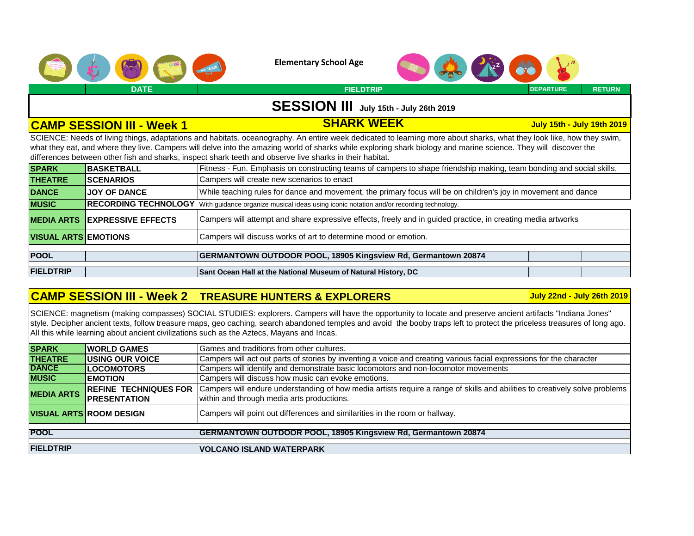



**DATE FIELDTRIP DEPARTURE RETURN**

### **SESSION III July 15th - July 26th 2019**

### **CAMP SESSION III - Week 1 SHARK WEEK**

**July 15th - July 19th 2019** 

SCIENCE: Needs of living things, adaptations and habitats. oceanography. An entire week dedicated to learning more about sharks, what they look like, how they swim, what they eat, and where they live. Campers will delve into the amazing world of sharks while exploring shark biology and marine science. They will discover the differences between other fish and sharks, inspect shark teeth and observe live sharks in their habitat.

| <b>SPARK</b>                | <b>BASKETBALL</b>           | Fitness - Fun. Emphasis on constructing teams of campers to shape friendship making, team bonding and social skills. |  |  |  |
|-----------------------------|-----------------------------|----------------------------------------------------------------------------------------------------------------------|--|--|--|
| <b>THEATRE</b>              | <b>SCENARIOS</b>            | Campers will create new scenarios to enact                                                                           |  |  |  |
| <b>DANCE</b>                | <b>JOY OF DANCE</b>         | While teaching rules for dance and movement, the primary focus will be on children's joy in movement and dance       |  |  |  |
| <b>MUSIC</b>                | <b>RECORDING TECHNOLOGY</b> | With quidance organize musical ideas using iconic notation and/or recording technology.                              |  |  |  |
| <b>MEDIA ARTS</b>           | <b>EXPRESSIVE EFFECTS</b>   | Campers will attempt and share expressive effects, freely and in guided practice, in creating media artworks         |  |  |  |
| <b>VISUAL ARTS EMOTIONS</b> |                             | Campers will discuss works of art to determine mood or emotion.                                                      |  |  |  |
|                             |                             |                                                                                                                      |  |  |  |
| <b>POOL</b>                 |                             | <b>GERMANTOWN OUTDOOR POOL, 18905 Kingsview Rd, Germantown 20874</b>                                                 |  |  |  |
|                             |                             |                                                                                                                      |  |  |  |
| <b>FIELDTRIP</b>            |                             | Sant Ocean Hall at the National Museum of Natural History, DC                                                        |  |  |  |

#### **CAMP SESSION III - Week 2 TREASURE HUNTERS & EXPLORERS**

**July 22nd - July 26th 2019** 

SCIENCE: magnetism (making compasses) SOCIAL STUDIES: explorers. Campers will have the opportunity to locate and preserve ancient artifacts "Indiana Jones" style. Decipher ancient texts, follow treasure maps, geo caching, search abandoned temples and avoid the booby traps left to protect the priceless treasures of long ago. All this while learning about ancient civilizations such as the Aztecs, Mayans and Incas.

| <b>WORLD GAMES</b>             | Games and traditions from other cultures.                                                                                   |
|--------------------------------|-----------------------------------------------------------------------------------------------------------------------------|
| <b>IUSING OUR VOICE</b>        | Campers will act out parts of stories by inventing a voice and creating various facial expressions for the character        |
| <b>LOCOMOTORS</b>              | Campers will identify and demonstrate basic locomotors and non-locomotor movements                                          |
| <b>IEMOTION</b>                | Campers will discuss how music can evoke emotions.                                                                          |
| <b>REFINE TECHNIQUES FOR</b>   | Campers will endure understanding of how media artists require a range of skills and abilities to creatively solve problems |
| <b>PRESENTATION</b>            | within and through media arts productions.                                                                                  |
| <b>VISUAL ARTS ROOM DESIGN</b> | Campers will point out differences and similarities in the room or hallway.                                                 |
|                                | <b>GERMANTOWN OUTDOOR POOL, 18905 Kingsview Rd, Germantown 20874</b>                                                        |
|                                | <b>VOLCANO ISLAND WATERPARK</b>                                                                                             |
|                                |                                                                                                                             |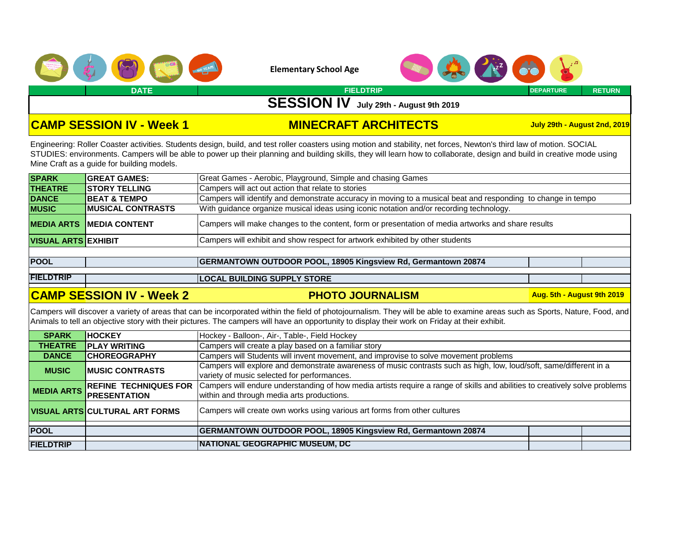



**DATE FIELDTRIP DEPARTURE RETURN**

**SESSION IV July 29th - August 9th 2019** 

### **CAMP SESSION IV - Week 1 MINECRAFT ARCHITECTS**

**July 29th - August 2nd, 2019**

Engineering: Roller Coaster activities. Students design, build, and test roller coasters using motion and stability, net forces, Newton's third law of motion. SOCIAL STUDIES: environments. Campers will be able to power up their planning and building skills, they will learn how to collaborate, design and build in creative mode using Mine Craft as a guide for building models.

| <b>SPARK</b>               | <b>GREAT GAMES:</b>             | Great Games - Aerobic, Playground, Simple and chasing Games                                                  |
|----------------------------|---------------------------------|--------------------------------------------------------------------------------------------------------------|
| <b>THEATRE</b>             | <b>ISTORY TELLING</b>           | Campers will act out action that relate to stories                                                           |
| <b>DANCE</b>               | <b>BEAT &amp; TEMPO</b>         | Campers will identify and demonstrate accuracy in moving to a musical beat and responding to change in tempo |
| <b>MUSIC</b>               | <b>IMUSICAL CONTRASTS</b>       | With guidance organize musical ideas using iconic notation and/or recording technology.                      |
|                            | <b>MEDIA ARTS MEDIA CONTENT</b> | Campers will make changes to the content, form or presentation of media artworks and share results           |
| <b>VISUAL ARTS EXHIBIT</b> |                                 | Campers will exhibit and show respect for artwork exhibited by other students                                |
|                            |                                 |                                                                                                              |

| <b>POOL</b> |  | <b>GERMANTOWN OUTDOOR POOL, 18905 Kingsview Rd, Germantown 20874</b> |
|-------------|--|----------------------------------------------------------------------|
|             |  |                                                                      |

**FIELDTRIP LOCAL BUILDING SUPPLY STORE**

#### **CAMP SESSION IV - Week 2 PHOTO JOURNALISM**

**Aug. 5th - August 9th 2019** 

Campers will discover a variety of areas that can be incorporated within the field of photojournalism. They will be able to examine areas such as Sports, Nature, Food, and Animals to tell an objective story with their pictures. The campers will have an opportunity to display their work on Friday at their exhibit.

| <b>SPARK</b>     | <b>HOCKEY</b>                          | Hockey - Balloon-, Air-, Table-, Field Hockey                                                                                                                             |  |  |  |
|------------------|----------------------------------------|---------------------------------------------------------------------------------------------------------------------------------------------------------------------------|--|--|--|
| <b>THEATRE</b>   | <b>PLAY WRITING</b>                    | Campers will create a play based on a familiar story                                                                                                                      |  |  |  |
| <b>DANCE</b>     | <b>CHOREOGRAPHY</b>                    | Campers will Students will invent movement, and improvise to solve movement problems                                                                                      |  |  |  |
| <b>MUSIC</b>     | <b>IMUSIC CONTRASTS</b>                | Campers will explore and demonstrate awareness of music contrasts such as high, low, loud/soft, same/different in a<br>variety of music selected for performances.        |  |  |  |
|                  | MEDIA ARTS REFINE TECHNIQUES FOR       | Campers will endure understanding of how media artists require a range of skills and abilities to creatively solve problems<br>within and through media arts productions. |  |  |  |
|                  | <u> VISUAL ARTS CULTURAL ART FORMS</u> | Campers will create own works using various art forms from other cultures                                                                                                 |  |  |  |
| <b>POOL</b>      |                                        | <b>GERMANTOWN OUTDOOR POOL, 18905 Kingsview Rd, Germantown 20874</b>                                                                                                      |  |  |  |
| <b>FIELDTRIP</b> |                                        | <u> INATIONAL GEOGRAPHIC MUSEUM, DC</u>                                                                                                                                   |  |  |  |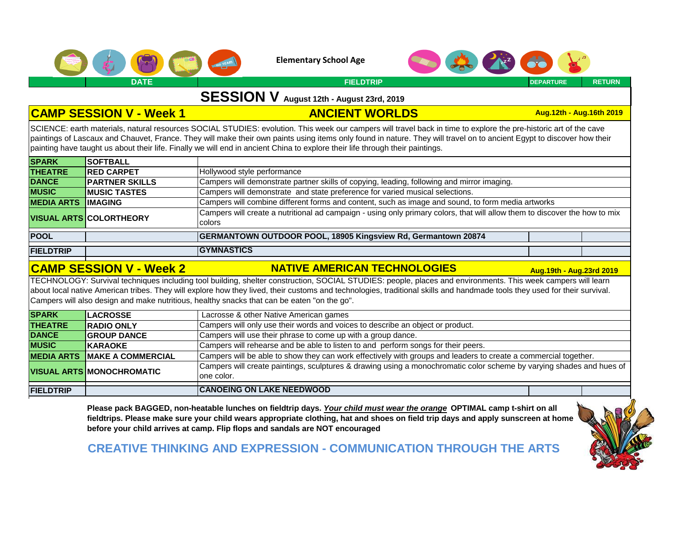



### **SESSION V August 12th - August 23rd, 2019**

#### **CAMP SESSION V - Week 1 ANCIENT WORLDS**

**Aug.12th - Aug.16th 2019** 

SCIENCE: earth materials, natural resources SOCIAL STUDIES: evolution. This week our campers will travel back in time to explore the pre-historic art of the cave paintings of Lascaux and Chauvet, France. They will make their own paints using items only found in nature. They will travel on to ancient Egypt to discover how their painting have taught us about their life. Finally we will end in ancient China to explore their life through their paintings.

| <b>SPARK</b>      | <b>SOFTBALL</b>                |                                                                                                                                      |  |  |  |
|-------------------|--------------------------------|--------------------------------------------------------------------------------------------------------------------------------------|--|--|--|
| <b>THEATRE</b>    | <b>RED CARPET</b>              | Hollywood style performance                                                                                                          |  |  |  |
| <b>DANCE</b>      | <b>PARTNER SKILLS</b>          | Campers will demonstrate partner skills of copying, leading, following and mirror imaging.                                           |  |  |  |
| <b>MUSIC</b>      | <b>IMUSIC TASTES</b>           | Campers will demonstrate and state preference for varied musical selections.                                                         |  |  |  |
| <b>MEDIA ARTS</b> | <b>IMAGING</b>                 | Campers will combine different forms and content, such as image and sound, to form media artworks                                    |  |  |  |
|                   | <b>VISUAL ARTS COLORTHEORY</b> | Campers will create a nutritional ad campaign - using only primary colors, that will allow them to discover the how to mix<br>colors |  |  |  |
| <b>POOL</b>       |                                | <b>GERMANTOWN OUTDOOR POOL, 18905 Kingsview Rd, Germantown 20874</b>                                                                 |  |  |  |
| <b>FIELDTRIP</b>  |                                | <b>IGYMNASTICS</b>                                                                                                                   |  |  |  |

#### **CAMP SESSION V - Week 2 NATIVE AMERICAN TECHNOLOGIES Aug.19th - Aug.23rd 2019**

TECHNOLOGY: Survival techniques including tool building, shelter construction, SOCIAL STUDIES: people, places and environments. This week campers will learn about local native American tribes. They will explore how they lived, their customs and technologies, traditional skills and handmade tools they used for their survival. Campers will also design and make nutritious, healthy snacks that can be eaten "on the go".

| <b>SPARK</b>     | <b>LACROSSE</b>                     | Lacrosse & other Native American games                                                                                              |  |  |  |
|------------------|-------------------------------------|-------------------------------------------------------------------------------------------------------------------------------------|--|--|--|
| <b>THEATRE</b>   | <b>RADIO ONLY</b>                   | Campers will only use their words and voices to describe an object or product.                                                      |  |  |  |
| <b>DANCE</b>     | <b>GROUP DANCE</b>                  | Campers will use their phrase to come up with a group dance.                                                                        |  |  |  |
| <b>MUSIC</b>     | <b>KARAOKE</b>                      | Campers will rehearse and be able to listen to and perform songs for their peers.                                                   |  |  |  |
|                  | <b>MEDIA ARTS MAKE A COMMERCIAL</b> | Campers will be able to show they can work effectively with groups and leaders to create a commercial together.                     |  |  |  |
|                  | <b>VISUAL ARTS MONOCHROMATIC</b>    | Campers will create paintings, sculptures & drawing using a monochromatic color scheme by varying shades and hues of<br>lone color. |  |  |  |
|                  |                                     |                                                                                                                                     |  |  |  |
| <b>FIELDTRIP</b> |                                     | <b>CANOEING ON LAKE NEEDWOOD</b>                                                                                                    |  |  |  |

**Please pack BAGGED, non-heatable lunches on fieldtrip days.** *Your child must wear the orange* **OPTIMAL camp t-shirt on all fieldtrips. Please make sure your child wears appropriate clothing, hat and shoes on field trip days and apply sunscreen at home before your child arrives at camp. Flip flops and sandals are NOT encouraged**



**CREATIVE THINKING AND EXPRESSION - COMMUNICATION THROUGH THE ARTS**